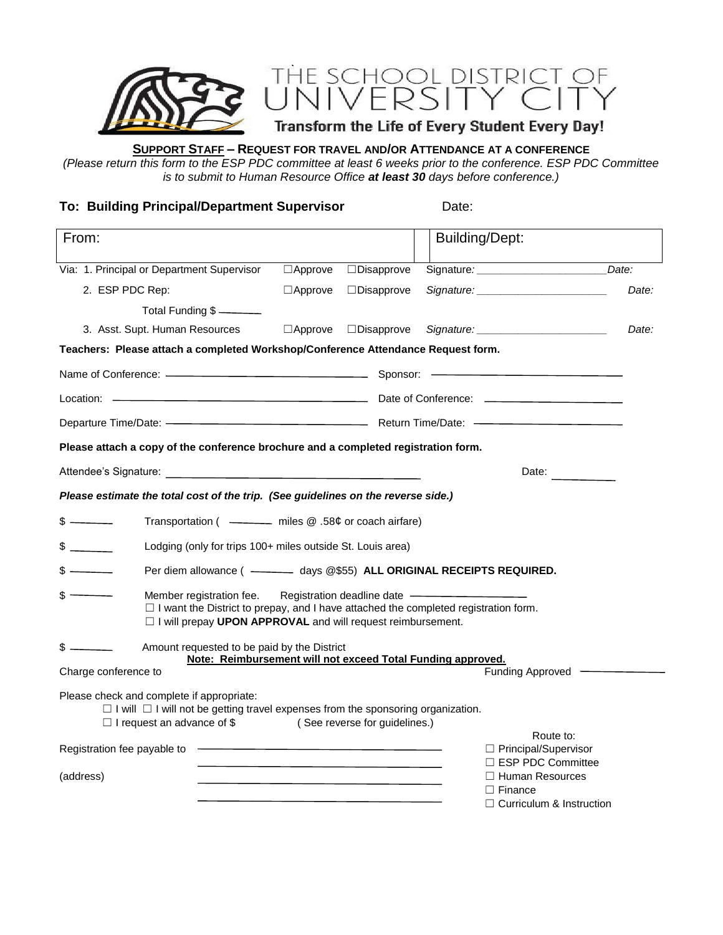

# **SUPPORT STAFF – REQUEST FOR TRAVEL AND/OR ATTENDANCE AT A CONFERENCE**

*(Please return this form to the ESP PDC committee at least 6 weeks prior to the conference. ESP PDC Committee is to submit to Human Resource Office at least 30 days before conference.)*

**To: Building Principal/Department Supervisor** Date:

| From:                                                                                                                                                                                                                          |                |                                                                                 | <b>Building/Dept:</b>                                                       |       |
|--------------------------------------------------------------------------------------------------------------------------------------------------------------------------------------------------------------------------------|----------------|---------------------------------------------------------------------------------|-----------------------------------------------------------------------------|-------|
| Via: 1. Principal or Department Supervisor                                                                                                                                                                                     | $\Box$ Approve | $\Box$ Disapprove                                                               |                                                                             | Date: |
| 2. ESP PDC Rep:                                                                                                                                                                                                                | $\Box$ Approve | $\Box$ Disapprove                                                               | Signature: Signature:                                                       | Date: |
| Total Funding \$                                                                                                                                                                                                               |                |                                                                                 |                                                                             |       |
| 3. Asst. Supt. Human Resources                                                                                                                                                                                                 |                | $\Box$ Approve $\Box$ Disapprove                                                |                                                                             | Date: |
| Teachers: Please attach a completed Workshop/Conference Attendance Request form.                                                                                                                                               |                |                                                                                 |                                                                             |       |
|                                                                                                                                                                                                                                |                |                                                                                 |                                                                             |       |
|                                                                                                                                                                                                                                |                |                                                                                 |                                                                             |       |
| Departure Time/Date: - Contract Contract Contract Contract Contract Contract Contract Contract Contract Contract Contract Contract Contract Contract Contract Contract Contract Contract Contract Contract Contract Contract C |                |                                                                                 |                                                                             |       |
| Please attach a copy of the conference brochure and a completed registration form.                                                                                                                                             |                |                                                                                 |                                                                             |       |
|                                                                                                                                                                                                                                |                |                                                                                 | Date:                                                                       |       |
| Please estimate the total cost of the trip. (See guidelines on the reverse side.)                                                                                                                                              |                |                                                                                 |                                                                             |       |
| $s$ — —<br>Transportation ( - miles @ .58¢ or coach airfare)                                                                                                                                                                   |                |                                                                                 |                                                                             |       |
| $$$ $$$<br>Lodging (only for trips 100+ miles outside St. Louis area)                                                                                                                                                          |                |                                                                                 |                                                                             |       |
| $s$ — —<br>Per diem allowance ( - - - - - days @\$55) ALL ORIGINAL RECEIPTS REQUIRED.                                                                                                                                          |                |                                                                                 |                                                                             |       |
| $s$ —<br>Member registration fee.<br>$\Box$ I want the District to prepay, and I have attached the completed registration form.<br>□ I will prepay UPON APPROVAL and will request reimbursement.                               |                | Registration deadline date -                                                    |                                                                             |       |
| $s$ $\overline{\phantom{a}}$<br>Amount requested to be paid by the District                                                                                                                                                    |                |                                                                                 | Note: Reimbursement will not exceed Total Funding approved.                 |       |
| Charge conference to                                                                                                                                                                                                           |                |                                                                                 | Funding Approved -                                                          |       |
| Please check and complete if appropriate:<br>$\Box$ I will $\Box$ I will not be getting travel expenses from the sponsoring organization.<br>$\Box$ I request an advance of \$                                                 |                | (See reverse for guidelines.)                                                   |                                                                             |       |
| Registration fee payable to                                                                                                                                                                                                    |                |                                                                                 | Route to:<br>□ Principal/Supervisor<br>$\Box$ ESP PDC Committee             |       |
| (address)                                                                                                                                                                                                                      |                | the contract of the contract of the contract of the contract of the contract of | $\Box$ Human Resources<br>$\Box$ Finance<br>$\Box$ Curriculum & Instruction |       |